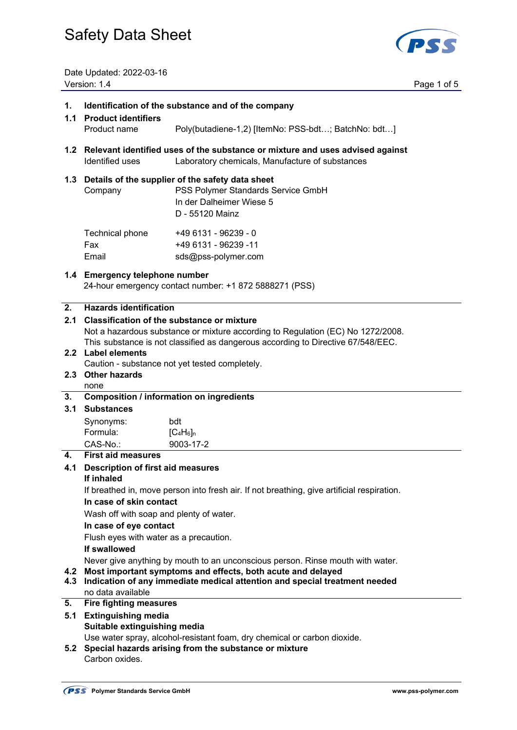

Date Updated: 2022-03-16 Version: 1.4 Page 1 of 5

| 1.                                                                              | Identification of the substance and of the company                                                                                        |                                                                                                                                           |  |
|---------------------------------------------------------------------------------|-------------------------------------------------------------------------------------------------------------------------------------------|-------------------------------------------------------------------------------------------------------------------------------------------|--|
| 1.1                                                                             | <b>Product identifiers</b>                                                                                                                |                                                                                                                                           |  |
|                                                                                 | Product name                                                                                                                              | Poly(butadiene-1,2) [ItemNo: PSS-bdt; BatchNo: bdt]                                                                                       |  |
|                                                                                 | Identified uses                                                                                                                           | 1.2 Relevant identified uses of the substance or mixture and uses advised against<br>Laboratory chemicals, Manufacture of substances      |  |
|                                                                                 | Company                                                                                                                                   | 1.3 Details of the supplier of the safety data sheet<br>PSS Polymer Standards Service GmbH<br>In der Dalheimer Wiese 5<br>D - 55120 Mainz |  |
|                                                                                 | Technical phone<br>Fax<br>Email                                                                                                           | +49 6131 - 96239 - 0<br>+49 6131 - 96239 -11<br>sds@pss-polymer.com                                                                       |  |
|                                                                                 | 1.4 Emergency telephone number                                                                                                            | 24-hour emergency contact number: +1 872 5888271 (PSS)                                                                                    |  |
| 2.                                                                              | <b>Hazards identification</b>                                                                                                             |                                                                                                                                           |  |
| 2.1                                                                             |                                                                                                                                           | <b>Classification of the substance or mixture</b>                                                                                         |  |
| Not a hazardous substance or mixture according to Regulation (EC) No 1272/2008. |                                                                                                                                           |                                                                                                                                           |  |
|                                                                                 | This substance is not classified as dangerous according to Directive 67/548/EEC.<br>2.2 Label elements                                    |                                                                                                                                           |  |
|                                                                                 | Caution - substance not yet tested completely.                                                                                            |                                                                                                                                           |  |
|                                                                                 | 2.3 Other hazards                                                                                                                         |                                                                                                                                           |  |
|                                                                                 | none                                                                                                                                      |                                                                                                                                           |  |
| 3.                                                                              | <b>Composition / information on ingredients</b>                                                                                           |                                                                                                                                           |  |
| 3.1                                                                             | <b>Substances</b>                                                                                                                         |                                                                                                                                           |  |
|                                                                                 | Synonyms:                                                                                                                                 | bdt                                                                                                                                       |  |
|                                                                                 | Formula:                                                                                                                                  | $[C_4H_6]_n$                                                                                                                              |  |
|                                                                                 | CAS-No.:                                                                                                                                  | 9003-17-2                                                                                                                                 |  |
| 4.                                                                              | <b>First aid measures</b>                                                                                                                 |                                                                                                                                           |  |
| 4.1                                                                             | <b>Description of first aid measures</b>                                                                                                  |                                                                                                                                           |  |
|                                                                                 | If inhaled<br>If breathed in, move person into fresh air. If not breathing, give artificial respiration.                                  |                                                                                                                                           |  |
|                                                                                 | In case of skin contact                                                                                                                   |                                                                                                                                           |  |
|                                                                                 | Wash off with soap and plenty of water.                                                                                                   |                                                                                                                                           |  |
|                                                                                 | In case of eye contact                                                                                                                    |                                                                                                                                           |  |
|                                                                                 | Flush eyes with water as a precaution.                                                                                                    |                                                                                                                                           |  |
|                                                                                 | If swallowed                                                                                                                              |                                                                                                                                           |  |
|                                                                                 |                                                                                                                                           | Never give anything by mouth to an unconscious person. Rinse mouth with water.                                                            |  |
| 4.2<br>4.3                                                                      | Most important symptoms and effects, both acute and delayed<br>Indication of any immediate medical attention and special treatment needed |                                                                                                                                           |  |
|                                                                                 | no data available                                                                                                                         |                                                                                                                                           |  |
| 5.                                                                              | <b>Fire fighting measures</b>                                                                                                             |                                                                                                                                           |  |
| 5.1                                                                             | <b>Extinguishing media</b>                                                                                                                |                                                                                                                                           |  |
|                                                                                 | Suitable extinguishing media                                                                                                              | Use water spray, alcohol-resistant foam, dry chemical or carbon dioxide.                                                                  |  |
| 5.2                                                                             |                                                                                                                                           | Special hazards arising from the substance or mixture                                                                                     |  |
|                                                                                 | Carbon oxides.                                                                                                                            |                                                                                                                                           |  |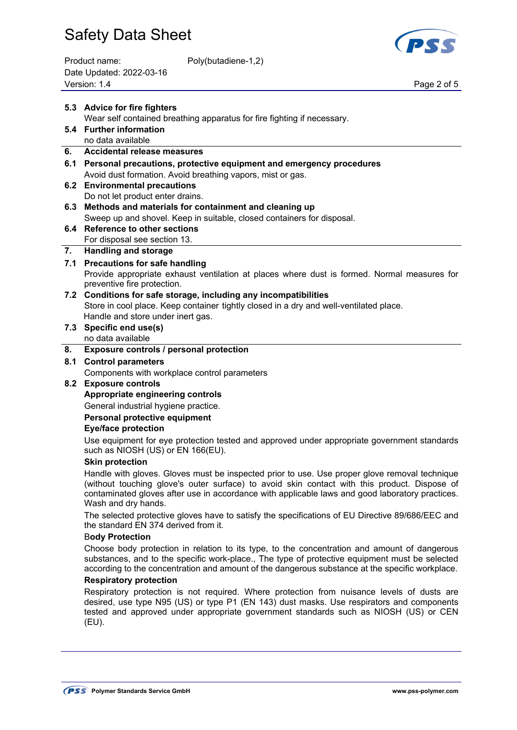| Product name:            | Poly(butadiene-1,2) |
|--------------------------|---------------------|
| Date Updated: 2022-03-16 |                     |
| Version: 1.4             |                     |



Page 2 of 5

|     | 5.3 Advice for fire fighters<br>Wear self contained breathing apparatus for fire fighting if necessary.                                                                                                                                                                                                                 |  |  |
|-----|-------------------------------------------------------------------------------------------------------------------------------------------------------------------------------------------------------------------------------------------------------------------------------------------------------------------------|--|--|
|     | 5.4 Further information                                                                                                                                                                                                                                                                                                 |  |  |
|     | no data available                                                                                                                                                                                                                                                                                                       |  |  |
| 6.  | Accidental release measures                                                                                                                                                                                                                                                                                             |  |  |
|     | 6.1 Personal precautions, protective equipment and emergency procedures                                                                                                                                                                                                                                                 |  |  |
|     | Avoid dust formation. Avoid breathing vapors, mist or gas.                                                                                                                                                                                                                                                              |  |  |
|     | 6.2 Environmental precautions                                                                                                                                                                                                                                                                                           |  |  |
|     | Do not let product enter drains.                                                                                                                                                                                                                                                                                        |  |  |
| 6.3 | Methods and materials for containment and cleaning up                                                                                                                                                                                                                                                                   |  |  |
|     | Sweep up and shovel. Keep in suitable, closed containers for disposal.                                                                                                                                                                                                                                                  |  |  |
| 6.4 | <b>Reference to other sections</b>                                                                                                                                                                                                                                                                                      |  |  |
|     | For disposal see section 13.                                                                                                                                                                                                                                                                                            |  |  |
| 7.  | <b>Handling and storage</b>                                                                                                                                                                                                                                                                                             |  |  |
|     | 7.1 Precautions for safe handling                                                                                                                                                                                                                                                                                       |  |  |
|     | Provide appropriate exhaust ventilation at places where dust is formed. Normal measures for<br>preventive fire protection.                                                                                                                                                                                              |  |  |
|     | 7.2 Conditions for safe storage, including any incompatibilities                                                                                                                                                                                                                                                        |  |  |
|     | Store in cool place. Keep container tightly closed in a dry and well-ventilated place.                                                                                                                                                                                                                                  |  |  |
|     | Handle and store under inert gas.                                                                                                                                                                                                                                                                                       |  |  |
|     | 7.3 Specific end use(s)                                                                                                                                                                                                                                                                                                 |  |  |
|     | no data available                                                                                                                                                                                                                                                                                                       |  |  |
| 8.  | Exposure controls / personal protection                                                                                                                                                                                                                                                                                 |  |  |
| 8.1 | <b>Control parameters</b>                                                                                                                                                                                                                                                                                               |  |  |
|     | Components with workplace control parameters                                                                                                                                                                                                                                                                            |  |  |
|     | 8.2 Exposure controls                                                                                                                                                                                                                                                                                                   |  |  |
|     | Appropriate engineering controls                                                                                                                                                                                                                                                                                        |  |  |
|     | General industrial hygiene practice.                                                                                                                                                                                                                                                                                    |  |  |
|     | Personal protective equipment                                                                                                                                                                                                                                                                                           |  |  |
|     | <b>Eye/face protection</b>                                                                                                                                                                                                                                                                                              |  |  |
|     | Use equipment for eye protection tested and approved under appropriate government standards<br>such as NIOSH (US) or EN 166(EU).                                                                                                                                                                                        |  |  |
|     | <b>Skin protection</b>                                                                                                                                                                                                                                                                                                  |  |  |
|     | Handle with gloves. Gloves must be inspected prior to use. Use proper glove removal technique<br>(without touching glove's outer surface) to avoid skin contact with this product. Dispose of<br>contaminated gloves after use in accordance with applicable laws and good laboratory practices.<br>Wash and dry hands. |  |  |
|     | The selected protective gloves have to satisfy the specifications of EU Directive 89/686/EEC and<br>the standard EN 374 derived from it.                                                                                                                                                                                |  |  |
|     | <b>Body Protection</b>                                                                                                                                                                                                                                                                                                  |  |  |
|     | Choose body protection in relation to its type, to the concentration and amount of dangerous<br>substances, and to the specific work-place., The type of protective equipment must be selected<br>according to the concentration and amount of the dangerous substance at the specific workplace.                       |  |  |
|     | <b>Respiratory protection</b>                                                                                                                                                                                                                                                                                           |  |  |
|     | Respiratory protection is not required. Where protection from nuisance levels of dusts are<br>desired, use type N95 (US) or type P1 (EN 143) dust masks. Use respirators and components<br>tested and approved under appropriate government standards such as NIOSH (US) or CEN<br>(EU).                                |  |  |
|     |                                                                                                                                                                                                                                                                                                                         |  |  |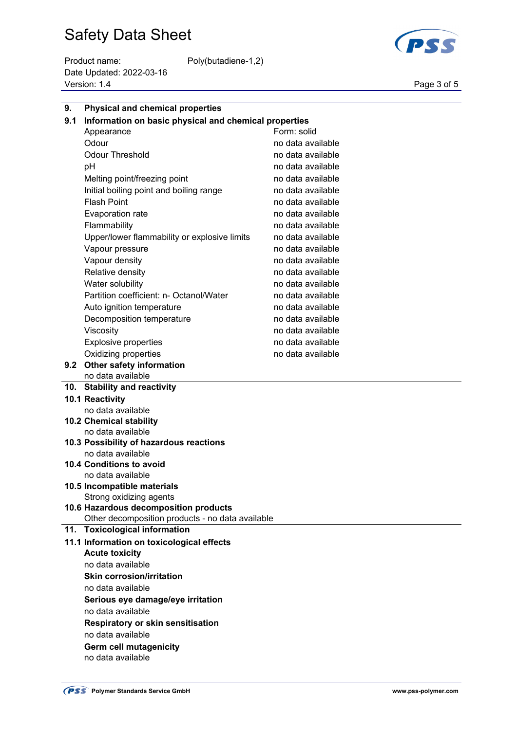Product name: Poly(butadiene-1,2) Date Updated: 2022-03-16 Page 3 of 5<br>Version: 1.4 Page 3 of 5



| 9.  | <b>Physical and chemical properties</b>                      |                   |  |
|-----|--------------------------------------------------------------|-------------------|--|
| 9.1 | Information on basic physical and chemical properties        |                   |  |
|     | Appearance                                                   | Form: solid       |  |
|     | Odour                                                        | no data available |  |
|     | <b>Odour Threshold</b>                                       | no data available |  |
|     | pH                                                           | no data available |  |
|     | Melting point/freezing point                                 | no data available |  |
|     | Initial boiling point and boiling range                      | no data available |  |
|     | <b>Flash Point</b>                                           | no data available |  |
|     | Evaporation rate                                             | no data available |  |
|     | Flammability                                                 | no data available |  |
|     | Upper/lower flammability or explosive limits                 | no data available |  |
|     | Vapour pressure                                              | no data available |  |
|     | Vapour density                                               | no data available |  |
|     | Relative density                                             | no data available |  |
|     | Water solubility                                             | no data available |  |
|     | Partition coefficient: n- Octanol/Water                      | no data available |  |
|     | Auto ignition temperature                                    | no data available |  |
|     | Decomposition temperature                                    | no data available |  |
|     | Viscosity                                                    | no data available |  |
|     | <b>Explosive properties</b>                                  | no data available |  |
|     | Oxidizing properties                                         | no data available |  |
|     | 9.2 Other safety information                                 |                   |  |
|     | no data available                                            |                   |  |
|     | 10. Stability and reactivity                                 |                   |  |
|     | 10.1 Reactivity                                              |                   |  |
|     | no data available                                            |                   |  |
|     | 10.2 Chemical stability                                      |                   |  |
|     | no data available<br>10.3 Possibility of hazardous reactions |                   |  |
|     | no data available                                            |                   |  |
|     | 10.4 Conditions to avoid                                     |                   |  |
|     | no data available                                            |                   |  |
|     | 10.5 Incompatible materials                                  |                   |  |
|     | Strong oxidizing agents                                      |                   |  |
|     | 10.6 Hazardous decomposition products                        |                   |  |
|     | Other decomposition products - no data available             |                   |  |
|     | 11. Toxicological information                                |                   |  |
|     | 11.1 Information on toxicological effects                    |                   |  |
|     | <b>Acute toxicity</b>                                        |                   |  |
|     | no data available                                            |                   |  |
|     | <b>Skin corrosion/irritation</b>                             |                   |  |
|     | no data available                                            |                   |  |
|     | Serious eye damage/eye irritation                            |                   |  |
|     | no data available                                            |                   |  |
|     | <b>Respiratory or skin sensitisation</b>                     |                   |  |
|     | no data available<br>والمتحاسب والمتحدث المتحدث ومرور        |                   |  |

**Germ cell mutagenicity** no data available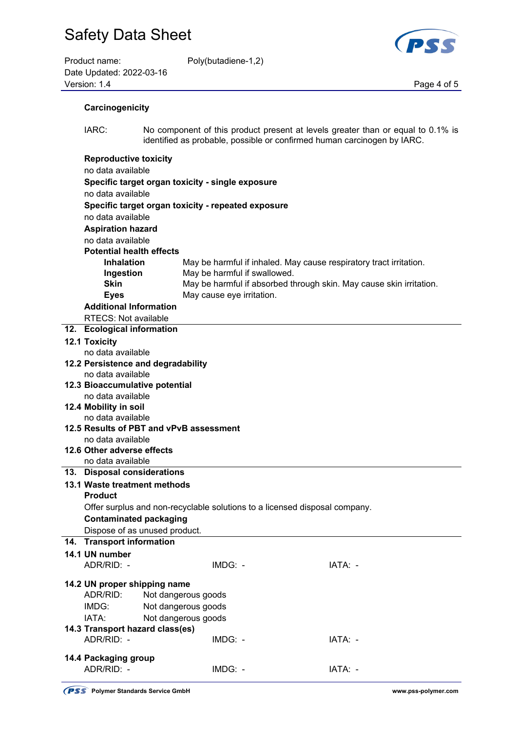| Product name:            | Poly(butadiene-1,2) |             |
|--------------------------|---------------------|-------------|
| Date Updated: 2022-03-16 |                     |             |
| Version: 1.4             |                     | Page 4 of 5 |



| Carcinogenicity |
|-----------------|
|                 |

 IARC: No component of this product present at levels greater than or equal to 0.1% is identified as probable, possible or confirmed human carcinogen by IARC.

| <b>Reproductive toxicity</b>                                               |                                                    |                                                                     |  |
|----------------------------------------------------------------------------|----------------------------------------------------|---------------------------------------------------------------------|--|
| no data available                                                          |                                                    |                                                                     |  |
| Specific target organ toxicity - single exposure                           |                                                    |                                                                     |  |
| no data available                                                          |                                                    |                                                                     |  |
|                                                                            | Specific target organ toxicity - repeated exposure |                                                                     |  |
| no data available                                                          |                                                    |                                                                     |  |
| <b>Aspiration hazard</b>                                                   |                                                    |                                                                     |  |
| no data available                                                          |                                                    |                                                                     |  |
| <b>Potential health effects</b>                                            |                                                    |                                                                     |  |
| <b>Inhalation</b>                                                          |                                                    | May be harmful if inhaled. May cause respiratory tract irritation.  |  |
| Ingestion                                                                  | May be harmful if swallowed.                       |                                                                     |  |
| <b>Skin</b>                                                                |                                                    | May be harmful if absorbed through skin. May cause skin irritation. |  |
| <b>Eyes</b>                                                                | May cause eye irritation.                          |                                                                     |  |
| <b>Additional Information</b>                                              |                                                    |                                                                     |  |
| <b>RTECS: Not available</b>                                                |                                                    |                                                                     |  |
| 12. Ecological information                                                 |                                                    |                                                                     |  |
| <b>12.1 Toxicity</b>                                                       |                                                    |                                                                     |  |
| no data available                                                          |                                                    |                                                                     |  |
| 12.2 Persistence and degradability                                         |                                                    |                                                                     |  |
| no data available                                                          |                                                    |                                                                     |  |
| 12.3 Bioaccumulative potential                                             |                                                    |                                                                     |  |
| no data available                                                          |                                                    |                                                                     |  |
| 12.4 Mobility in soil                                                      |                                                    |                                                                     |  |
| no data available                                                          |                                                    |                                                                     |  |
| 12.5 Results of PBT and vPvB assessment                                    |                                                    |                                                                     |  |
| no data available                                                          |                                                    |                                                                     |  |
| 12.6 Other adverse effects                                                 |                                                    |                                                                     |  |
| no data available                                                          |                                                    |                                                                     |  |
| 13. Disposal considerations                                                |                                                    |                                                                     |  |
| 13.1 Waste treatment methods                                               |                                                    |                                                                     |  |
| <b>Product</b>                                                             |                                                    |                                                                     |  |
| Offer surplus and non-recyclable solutions to a licensed disposal company. |                                                    |                                                                     |  |
| <b>Contaminated packaging</b>                                              |                                                    |                                                                     |  |
| Dispose of as unused product.                                              |                                                    |                                                                     |  |
| 14. Transport information                                                  |                                                    |                                                                     |  |
| 14.1 UN number                                                             |                                                    |                                                                     |  |
| ADR/RID: -                                                                 | IMDG: -                                            | IATA: -                                                             |  |
|                                                                            |                                                    |                                                                     |  |
| 14.2 UN proper shipping name                                               |                                                    |                                                                     |  |
| ADR/RID:                                                                   | Not dangerous goods                                |                                                                     |  |
| IMDG:                                                                      | Not dangerous goods                                |                                                                     |  |
| IATA:                                                                      | Not dangerous goods                                |                                                                     |  |
| 14.3 Transport hazard class(es)                                            |                                                    |                                                                     |  |
| ADR/RID: -                                                                 | IMDG: -                                            | IATA: -                                                             |  |
|                                                                            |                                                    |                                                                     |  |
| 14.4 Packaging group                                                       |                                                    |                                                                     |  |
| ADR/RID: -                                                                 | IMDG: -                                            | IATA: -                                                             |  |